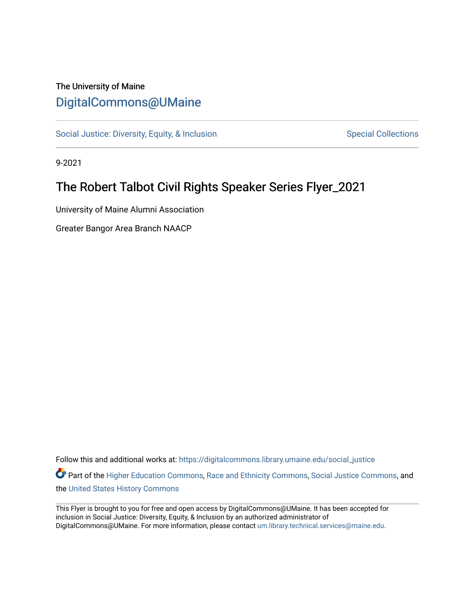### The University of Maine [DigitalCommons@UMaine](https://digitalcommons.library.umaine.edu/)

[Social Justice: Diversity, Equity, & Inclusion](https://digitalcommons.library.umaine.edu/social_justice) [Special Collections](https://digitalcommons.library.umaine.edu/specialcollections) Special Collections

9-2021

## The Robert Talbot Civil Rights Speaker Series Flyer\_2021

University of Maine Alumni Association

Greater Bangor Area Branch NAACP

Follow this and additional works at: [https://digitalcommons.library.umaine.edu/social\\_justice](https://digitalcommons.library.umaine.edu/social_justice?utm_source=digitalcommons.library.umaine.edu%2Fsocial_justice%2F777&utm_medium=PDF&utm_campaign=PDFCoverPages) 

Part of the [Higher Education Commons,](http://network.bepress.com/hgg/discipline/1245?utm_source=digitalcommons.library.umaine.edu%2Fsocial_justice%2F777&utm_medium=PDF&utm_campaign=PDFCoverPages) [Race and Ethnicity Commons,](http://network.bepress.com/hgg/discipline/426?utm_source=digitalcommons.library.umaine.edu%2Fsocial_justice%2F777&utm_medium=PDF&utm_campaign=PDFCoverPages) [Social Justice Commons,](http://network.bepress.com/hgg/discipline/1432?utm_source=digitalcommons.library.umaine.edu%2Fsocial_justice%2F777&utm_medium=PDF&utm_campaign=PDFCoverPages) and the [United States History Commons](http://network.bepress.com/hgg/discipline/495?utm_source=digitalcommons.library.umaine.edu%2Fsocial_justice%2F777&utm_medium=PDF&utm_campaign=PDFCoverPages) 

This Flyer is brought to you for free and open access by DigitalCommons@UMaine. It has been accepted for inclusion in Social Justice: Diversity, Equity, & Inclusion by an authorized administrator of DigitalCommons@UMaine. For more information, please contact [um.library.technical.services@maine.edu](mailto:um.library.technical.services@maine.edu).